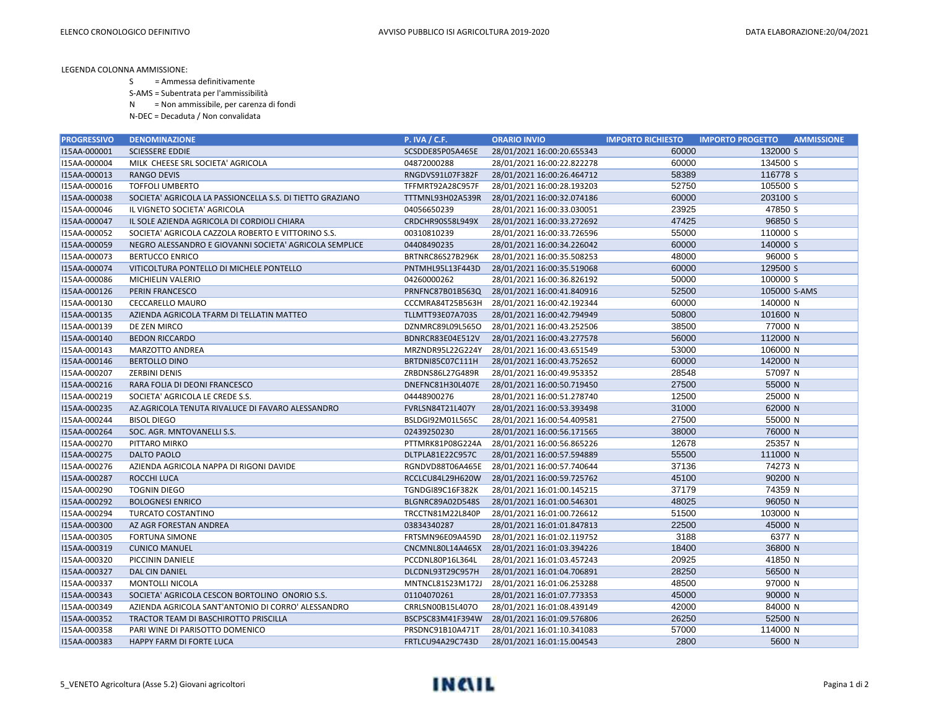LEGENDA COLONNA AMMISSIONE:

- S = Ammessa definitivamente
- S-AMS = Subentrata per l'ammissibilità
- N = Non ammissibile, per carenza di fondi
- N-DEC = Decaduta / Non convalidata

| <b>PROGRESSIVO</b> | <b>DENOMINAZIONE</b>                                      | <b>P. IVA / C.F.</b> | <b>ORARIO INVIO</b>        | <b>IMPORTO RICHIESTO</b> | <b>IMPORTO PROGETTO</b><br><b>AMMISSIONE</b> |
|--------------------|-----------------------------------------------------------|----------------------|----------------------------|--------------------------|----------------------------------------------|
| I15AA-000001       | <b>SCIESSERE EDDIE</b>                                    | SCSDDE85P05A465E     | 28/01/2021 16:00:20.655343 | 60000                    | 132000 S                                     |
| I15AA-000004       | MILK CHEESE SRL SOCIETA' AGRICOLA                         | 04872000288          | 28/01/2021 16:00:22.822278 | 60000                    | 134500 S                                     |
| I15AA-000013       | <b>RANGO DEVIS</b>                                        | RNGDVS91L07F382F     | 28/01/2021 16:00:26.464712 | 58389                    | 116778 S                                     |
| I15AA-000016       | <b>TOFFOLI UMBERTO</b>                                    | TFFMRT92A28C957F     | 28/01/2021 16:00:28.193203 | 52750                    | 105500 S                                     |
| I15AA-000038       | SOCIETA' AGRICOLA LA PASSIONCELLA S.S. DI TIETTO GRAZIANO | TTTMNL93H02A539R     | 28/01/2021 16:00:32.074186 | 60000                    | 203100 S                                     |
| I15AA-000046       | IL VIGNETO SOCIETA' AGRICOLA                              | 04056650239          | 28/01/2021 16:00:33.030051 | 23925                    | 47850 S                                      |
| I15AA-000047       | IL SOLE AZIENDA AGRICOLA DI CORDIOLI CHIARA               | CRDCHR90S58L949X     | 28/01/2021 16:00:33.272692 | 47425                    | 96850 S                                      |
| I15AA-000052       | SOCIETA' AGRICOLA CAZZOLA ROBERTO E VITTORINO S.S.        | 00310810239          | 28/01/2021 16:00:33.726596 | 55000                    | 110000 S                                     |
| I15AA-000059       | NEGRO ALESSANDRO E GIOVANNI SOCIETA' AGRICOLA SEMPLICE    | 04408490235          | 28/01/2021 16:00:34.226042 | 60000                    | 140000 S                                     |
| I15AA-000073       | <b>BERTUCCO ENRICO</b>                                    | BRTNRC86S27B296K     | 28/01/2021 16:00:35.508253 | 48000                    | 96000 S                                      |
| I15AA-000074       | VITICOLTURA PONTELLO DI MICHELE PONTELLO                  | PNTMHL95L13F443D     | 28/01/2021 16:00:35.519068 | 60000                    | 129500 S                                     |
| I15AA-000086       | <b>MICHIELIN VALERIO</b>                                  | 04260000262          | 28/01/2021 16:00:36.826192 | 50000                    | 100000 S                                     |
| I15AA-000126       | PERIN FRANCESCO                                           | PRNFNC87B01B563Q     | 28/01/2021 16:00:41.840916 | 52500                    | 105000 S-AMS                                 |
| I15AA-000130       | <b>CECCARELLO MAURO</b>                                   | CCCMRA84T25B563H     | 28/01/2021 16:00:42.192344 | 60000                    | 140000 N                                     |
| I15AA-000135       | AZIENDA AGRICOLA TFARM DI TELLATIN MATTEO                 | TLLMTT93E07A703S     | 28/01/2021 16:00:42.794949 | 50800                    | 101600 N                                     |
| I15AA-000139       | DE ZEN MIRCO                                              | DZNMRC89L09L565O     | 28/01/2021 16:00:43.252506 | 38500                    | 77000 N                                      |
| I15AA-000140       | <b>BEDON RICCARDO</b>                                     | BDNRCR83E04E512V     | 28/01/2021 16:00:43.277578 | 56000                    | 112000 N                                     |
| I15AA-000143       | MARZOTTO ANDREA                                           | MRZNDR95L22G224Y     | 28/01/2021 16:00:43.651549 | 53000                    | 106000 N                                     |
| I15AA-000146       | <b>BERTOLLO DINO</b>                                      | BRTDNI85C07C111H     | 28/01/2021 16:00:43.752652 | 60000                    | 142000 N                                     |
| I15AA-000207       | <b>ZERBINI DENIS</b>                                      | ZRBDNS86L27G489R     | 28/01/2021 16:00:49.953352 | 28548                    | 57097 N                                      |
| I15AA-000216       | RARA FOLIA DI DEONI FRANCESCO                             | DNEFNC81H30L407E     | 28/01/2021 16:00:50.719450 | 27500                    | 55000 N                                      |
| I15AA-000219       | SOCIETA' AGRICOLA LE CREDE S.S.                           | 04448900276          | 28/01/2021 16:00:51.278740 | 12500                    | 25000 N                                      |
| I15AA-000235       | AZ.AGRICOLA TENUTA RIVALUCE DI FAVARO ALESSANDRO          | FVRLSN84T21L407Y     | 28/01/2021 16:00:53.393498 | 31000                    | 62000 N                                      |
| I15AA-000244       | <b>BISOL DIEGO</b>                                        | BSLDGI92M01L565C     | 28/01/2021 16:00:54.409581 | 27500                    | 55000 N                                      |
| I15AA-000264       | SOC. AGR. MNTOVANELLI S.S.                                | 02439250230          | 28/01/2021 16:00:56.171565 | 38000                    | 76000 N                                      |
| I15AA-000270       | PITTARO MIRKO                                             | PTTMRK81P08G224A     | 28/01/2021 16:00:56.865226 | 12678                    | 25357 N                                      |
| I15AA-000275       | <b>DALTO PAOLO</b>                                        | DLTPLA81E22C957C     | 28/01/2021 16:00:57.594889 | 55500                    | 111000 N                                     |
| I15AA-000276       | AZIENDA AGRICOLA NAPPA DI RIGONI DAVIDE                   | RGNDVD88T06A465E     | 28/01/2021 16:00:57.740644 | 37136                    | 74273 N                                      |
| I15AA-000287       | ROCCHI LUCA                                               | RCCLCU84L29H620W     | 28/01/2021 16:00:59.725762 | 45100                    | 90200 N                                      |
| I15AA-000290       | <b>TOGNIN DIEGO</b>                                       | TGNDGI89C16F382K     | 28/01/2021 16:01:00.145215 | 37179                    | 74359 N                                      |
| I15AA-000292       | <b>BOLOGNESI ENRICO</b>                                   | BLGNRC89A02D548S     | 28/01/2021 16:01:00.546301 | 48025                    | 96050 N                                      |
| I15AA-000294       | <b>TURCATO COSTANTINO</b>                                 | TRCCTN81M22L840P     | 28/01/2021 16:01:00.726612 | 51500                    | 103000 N                                     |
| I15AA-000300       | AZ AGR FORESTAN ANDREA                                    | 03834340287          | 28/01/2021 16:01:01.847813 | 22500                    | 45000 N                                      |
| I15AA-000305       | <b>FORTUNA SIMONE</b>                                     | FRTSMN96E09A459D     | 28/01/2021 16:01:02.119752 | 3188                     | 6377 N                                       |
| I15AA-000319       | <b>CUNICO MANUEL</b>                                      | CNCMNL80L14A465X     | 28/01/2021 16:01:03.394226 | 18400                    | 36800 N                                      |
| I15AA-000320       | PICCININ DANIELE                                          | PCCDNL80P16L364L     | 28/01/2021 16:01:03.457243 | 20925                    | 41850 N                                      |
| I15AA-000327       | DAL CIN DANIEL                                            | DLCDNL93T29C957H     | 28/01/2021 16:01:04.706891 | 28250                    | 56500 N                                      |
| I15AA-000337       | <b>MONTOLLI NICOLA</b>                                    | MNTNCL81S23M172J     | 28/01/2021 16:01:06.253288 | 48500                    | 97000 N                                      |
| I15AA-000343       | SOCIETA' AGRICOLA CESCON BORTOLINO ONORIO S.S.            | 01104070261          | 28/01/2021 16:01:07.773353 | 45000                    | 90000 N                                      |
| I15AA-000349       | AZIENDA AGRICOLA SANT'ANTONIO DI CORRO' ALESSANDRO        | CRRLSN00B15L407O     | 28/01/2021 16:01:08.439149 | 42000                    | 84000 N                                      |
| I15AA-000352       | TRACTOR TEAM DI BASCHIROTTO PRISCILLA                     | BSCPSC83M41F394W     | 28/01/2021 16:01:09.576806 | 26250                    | 52500 N                                      |
| I15AA-000358       | PARI WINE DI PARISOTTO DOMENICO                           | PRSDNC91B10A471T     | 28/01/2021 16:01:10.341083 | 57000                    | 114000 N                                     |
| I15AA-000383       | HAPPY FARM DI FORTE LUCA                                  | FRTLCU94A29C743D     | 28/01/2021 16:01:15.004543 | 2800                     | 5600 N                                       |